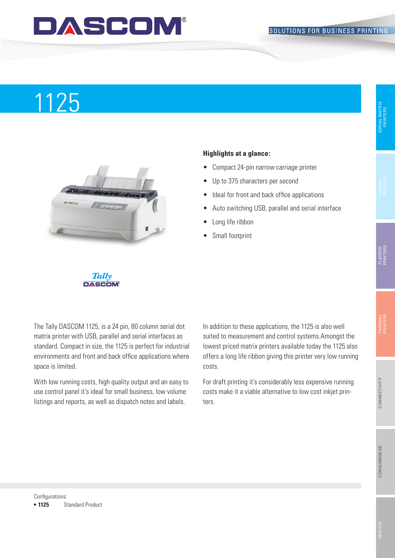### DASCOM

# Produktname 1125



#### **Highlights at a glance:**

- • Compact 24-pin narrow carriage printer
- Up to 375 characters per second
- Ideal for front and back office applications
- Auto switching USB, parallel and serial interface
- Long life ribbon
- Small footprint



The Tally DASCOM 1125, is a 24 pin, 80 column serial dot matrix printer with USB, parallel and serial interfaces as standard. Compact in size, the 1125 is perfect for industrial environments and front and back office applications where space is limited.

With low running costs, high quality output and an easy to use control panel it's ideal for small business, low volume listings and reports, as well as dispatch notes and labels.

In addition to these applications, the 1125 is also well suited to measurement and control systems.Amongst the lowest priced matrix printers available today the 1125 also offers a long life ribbon giving this printer very low running costs.

For draft printing it's considerably less expensive running costs make it a viable alternative to low cost inkjet printers.